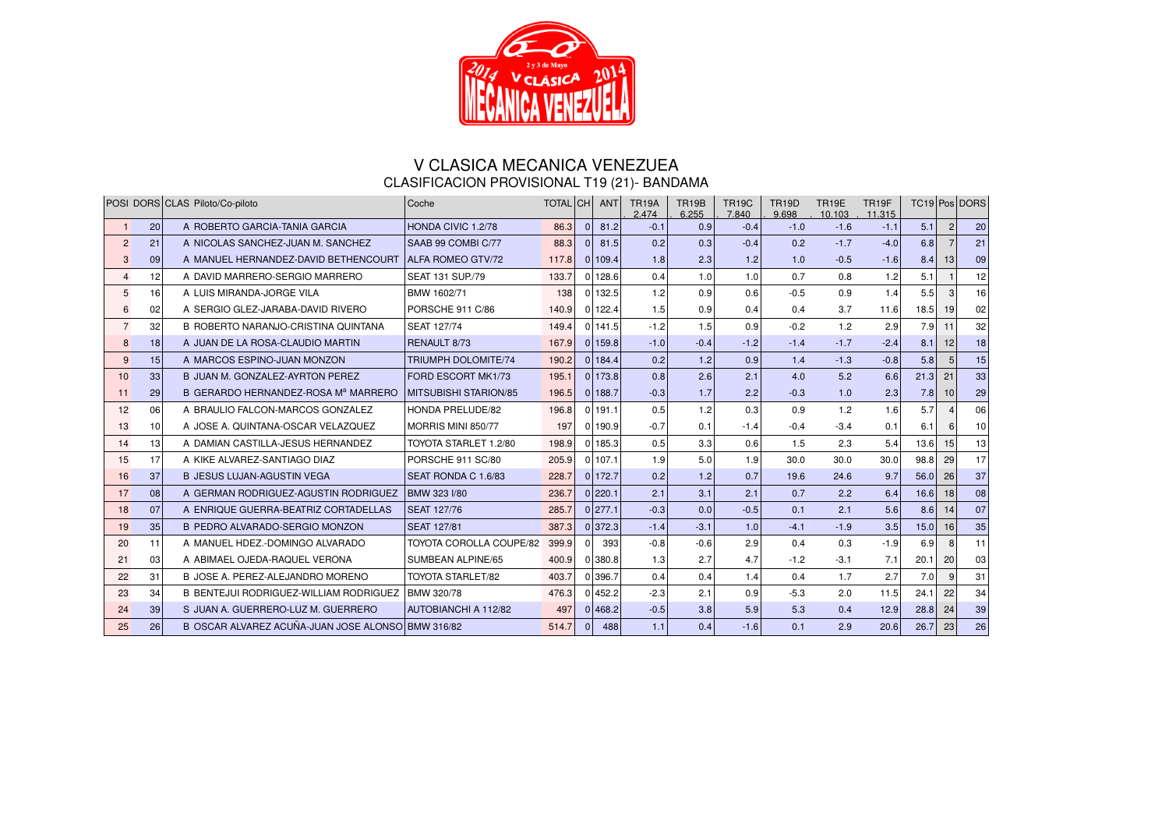

## V CLASICA MECANICA VENEZUEA CLASIFICACION PROVISIONAL T19 (21)- BANDAMA

|                |    | POSI   DORS   CLAS   Piloto/Co-piloto             | Coche                          | <b>TOTAL CH</b> |          | <b>ANT</b> | <b>TR19A</b><br>2.474 | <b>TR19B</b><br>6.255 | <b>TR19C</b><br>7.840 | <b>TR19D</b><br>9.698 | <b>TR19E</b><br>10.103 | TR <sub>19F</sub><br>11.315 |      |                | TC19 Pos DORS |
|----------------|----|---------------------------------------------------|--------------------------------|-----------------|----------|------------|-----------------------|-----------------------|-----------------------|-----------------------|------------------------|-----------------------------|------|----------------|---------------|
|                | 20 | A ROBERTO GARCIA-TANIA GARCIA                     | HONDA CIVIC 1.2/78             | 86.3            | $\Omega$ | 81.2       | $-0.1$                | 0.9                   | $-0.4$                | $-1.0$                | $-1.6$                 | $-1.1$                      | 5.1  | $\overline{2}$ | 20            |
| $\mathcal{P}$  | 21 | A NICOLAS SANCHEZ-JUAN M. SANCHEZ                 | SAAB 99 COMBI C/77             | 88.3            | $\Omega$ | 81.5       | 0.2                   | 0.3                   | $-0.4$                | 0.2                   | $-1.7$                 | $-4.0$                      | 6.8  | $\overline{7}$ | 21            |
| 3 <sup>1</sup> | 09 | A MANUEL HERNANDEZ-DAVID BETHENCOURT              | <b>ALFA ROMEO GTV/72</b>       | 117.8           |          | 0 109.4    | 1.8                   | 2.3                   | 1.2                   | 1.0                   | $-0.5$                 | $-1.6$                      | 8.4  | 13             | 09            |
|                | 12 | A DAVID MARRERO-SERGIO MARRERO                    | SEAT 131 SUP./79               | 133.7           |          | 0 128.6    | 0.4                   | 1.0                   | 1.0                   | 0.7                   | 0.8                    | 1.2                         | 5.1  |                | 12            |
| 5 <sup>1</sup> | 16 | A LUIS MIRANDA-JORGE VILA                         | BMW 1602/71                    | 138             |          | 0 132.5    | 1.2                   | 0.9                   | 0.6                   | $-0.5$                | 0.9                    | 1.4                         | 5.5  | 3              | 16            |
|                | 02 | A SERGIO GLEZ-JARABA-DAVID RIVERO                 | PORSCHE 911 C/86               | 140.9           |          | 0 122.4    | 1.5                   | 0.9                   | 0.4                   | 0.4                   | 3.7                    | 11.6                        | 18.5 | 19             | 02            |
|                | 32 | B ROBERTO NARANJO-CRISTINA QUINTANA               | <b>SEAT 127/74</b>             | 149.4           |          | $0$ 141.5  | $-1.2$                | 1.5                   | 0.9                   | $-0.2$                | 1.2                    | 2.9                         | 7.9  | 11             | 32            |
| 8 <sup>1</sup> | 18 | A JUAN DE LA ROSA-CLAUDIO MARTIN                  | <b>RENAULT 8/73</b>            | 167.9           |          | 0 159.8    | $-1.0$                | $-0.4$                | $-1.2$                | $-1.4$                | $-1.7$                 | $-2.4$                      | 8.1  | 12             | 18            |
| 9              | 15 | A MARCOS ESPINO-JUAN MONZON                       | TRIUMPH DOLOMITE/74            | 190.2           |          | 0 184.4    | 0.2                   | 1.2                   | 0.9                   | 1.4                   | $-1.3$                 | $-0.8$                      | 5.8  | 5              | 15            |
| 101            | 33 | BUJJAN M. GONZALEZ-AYRTON PEREZ                   | FORD ESCORT MK1/73             | 195.1           |          | 0 173.8    | 0.8                   | 2.6                   | 2.1                   | 4.0                   | 5.2                    | 6.6                         | 21.3 | 21             | 33            |
| 11             | 29 | B GERARDO HERNANDEZ-ROSA Mª MARRERO               | <b>MITSUBISHI STARION/85</b>   | 196.5           |          | 0 188.7    | $-0.3$                | 1.7                   | 2.2                   | $-0.3$                | 1.0                    | 2.3                         | 7.8  | 10             | 29            |
| 12             | 06 | A BRAULIO FALCON-MARCOS GONZALEZ                  | HONDA PRELUDE/82               | 196.8           |          | 0 191.1    | 0.5                   | 1.2                   | 0.3                   | 0.9                   | 1.2                    | 1.6                         | 5.7  |                | 06            |
| 13             | 10 | A JOSE A. QUINTANA-OSCAR VELAZQUEZ                | MORRIS MINI 850/77             | 197             |          | 0 190.9    | $-0.7$                | 0.1                   | $-1.4$                | $-0.4$                | $-3.4$                 | 0.1                         | 6.1  | 6              | 10            |
| 14             | 13 | A DAMIAN CASTILLA-JESUS HERNANDEZ                 | TOYOTA STARLET 1.2/80          | 198.9           |          | 0 185.3    | 0.5                   | 3.3                   | 0.6                   | 1.5                   | 2.3                    | 5.4                         | 13.6 | 15             | 13            |
| 15             | 17 | A KIKE ALVAREZ-SANTIAGO DIAZ                      | PORSCHE 911 SC/80              | 205.9           |          | 0 107.1    | 1.9                   | 5.0                   | 1.9                   | 30.0                  | 30.0                   | 30.0                        | 98.8 | 29             | 17            |
| 16             | 37 | <b>BUESUS LUJAN-AGUSTIN VEGA</b>                  | SEAT RONDA C 1.6/83            | 228.7           |          | 0 172.7    | 0.2                   | 1.2                   | 0.7                   | 19.6                  | 24.6                   | 9.7                         | 56.0 | 26             | 37            |
| 17             | 08 | A GERMAN RODRIGUEZ-AGUSTIN RODRIGUEZ              | BMW 323 I/80                   | 236.7           |          | 0 220.1    | 2.1                   | 3.1                   | 2.1                   | 0.7                   | 2.2                    | 6.4                         | 16.6 | 18             | 08            |
| 18             | 07 | A ENRIQUE GUERRA-BEATRIZ CORTADELLAS              | <b>SEAT 127/76</b>             | 285.7           |          | 0 277.1    | $-0.3$                | 0.0                   | $-0.5$                | 0.1                   | 2.1                    | 5.6                         | 8.6  | 14             | 07            |
| 19             | 35 | B PEDRO ALVARADO-SERGIO MONZON                    | <b>SEAT 127/81</b>             | 387.3           |          | 0 372.3    | $-1.4$                | $-3.1$                | 1.0                   | $-4.1$                | $-1.9$                 | 3.5                         | 15.0 | 16             | 35            |
| 20             | 11 | A MANUEL HDEZ.-DOMINGO ALVARADO                   | <b>TOYOTA COROLLA COUPE/82</b> | 399.9           |          | 393        | $-0.8$                | $-0.6$                | 2.9                   | 0.4                   | 0.3                    | $-1.9$                      | 6.9  | 8              | 11            |
| 21             | 03 | A ABIMAEL OJEDA-RAQUEL VERONA                     | SUMBEAN ALPINE/65              | 400.9           |          | 0 380.8    | 1.3                   | 2.7                   | 4.7                   | $-1.2$                | $-3.1$                 | 7.1                         | 20.1 | 20             | 03            |
| 22             | 31 | BUOSE A. PEREZ-ALEJANDRO MORENO                   | <b>TOYOTA STARLET/82</b>       | 403.7           |          | 0 396.7    | 0.4                   | 0.4                   | 1.4                   | 0.4                   | 1.7                    | 2.7                         | 7.0  | 9              | 31            |
| 23             | 34 | B BENTEJUI RODRIGUEZ-WILLIAM RODRIGUEZ            | BMW 320/78                     | 476.3           |          | 0 452.2    | $-2.3$                | 2.1                   | 0.9                   | $-5.3$                | 2.0                    | 11.5                        | 24.1 | 22             | 34            |
| 24             | 39 | S JUAN A. GUERRERO-LUZ M. GUERRERO                | AUTOBIANCHI A 112/82           | 497             |          | 0 468.2    | $-0.5$                | 3.8                   | 5.9                   | 5.3                   | 0.4                    | 12.9                        | 28.8 | 24             | 39            |
| 25             | 26 | B OSCAR ALVAREZ ACUÑA-JUAN JOSE ALONSO BMW 316/82 |                                | 514.7           |          | 488        | 1.1                   | 0.4                   | $-1.6$                | 0.1                   | 2.9                    | 20.6                        | 26.7 | 23             | 26            |